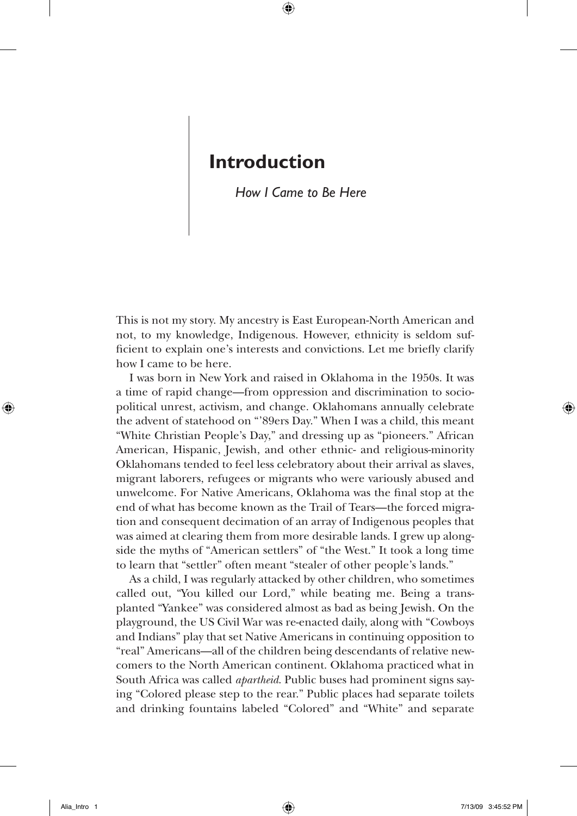## **Introduction**

## *How I Came to Be Here*

This is not my story. My ancestry is East European-North American and not, to my knowledge, Indigenous. However, ethnicity is seldom sufficient to explain one's interests and convictions. Let me briefly clarify how I came to be here.

I was born in New York and raised in Oklahoma in the 1950s. It was a time of rapid change—from oppression and discrimination to sociopolitical unrest, activism, and change. Oklahomans annually celebrate the advent of statehood on "'89ers Day." When I was a child, this meant "White Christian People's Day," and dressing up as "pioneers." African American, Hispanic, Jewish, and other ethnic- and religious-minority Oklahomans tended to feel less celebratory about their arrival as slaves, migrant laborers, refugees or migrants who were variously abused and unwelcome. For Native Americans, Oklahoma was the final stop at the end of what has become known as the Trail of Tears—the forced migration and consequent decimation of an array of Indigenous peoples that was aimed at clearing them from more desirable lands. I grew up alongside the myths of "American settlers" of "the West." It took a long time to learn that "settler" often meant "stealer of other people's lands."

As a child, I was regularly attacked by other children, who sometimes called out, "You killed our Lord," while beating me. Being a transplanted "Yankee" was considered almost as bad as being Jewish. On the playground, the US Civil War was re-enacted daily, along with "Cowboys and Indians" play that set Native Americans in continuing opposition to "real" Americans—all of the children being descendants of relative newcomers to the North American continent. Oklahoma practiced what in South Africa was called *apartheid*. Public buses had prominent signs saying "Colored please step to the rear." Public places had separate toilets and drinking fountains labeled "Colored" and "White" and separate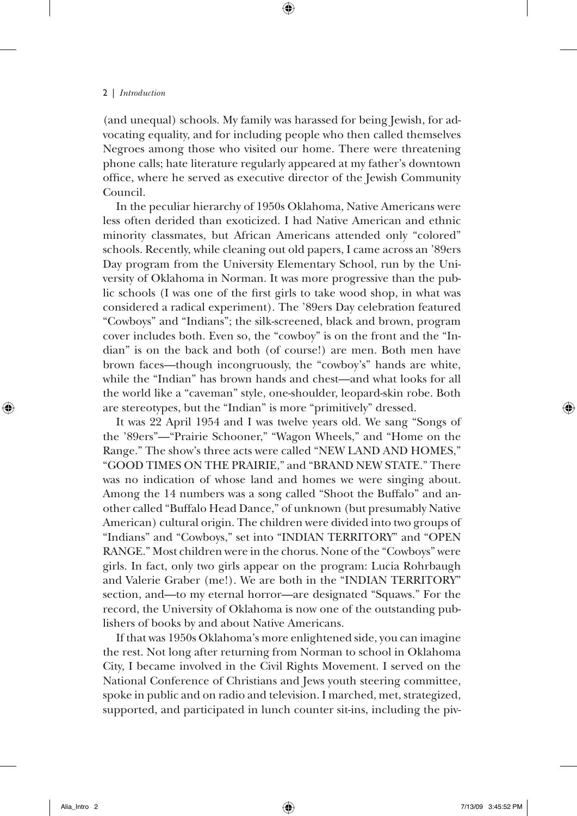(and unequal) schools. My family was harassed for being Jewish, for advocating equality, and for including people who then called themselves Negroes among those who visited our home. There were threatening phone calls; hate literature regularly appeared at my father's downtown office, where he served as executive director of the Jewish Community Council.

In the peculiar hierarchy of 1950s Oklahoma, Native Americans were less often derided than exoticized. I had Native American and ethnic minority classmates, but African Americans attended only "colored" schools. Recently, while cleaning out old papers, I came across an '89ers Day program from the University Elementary School, run by the University of Oklahoma in Norman. It was more progressive than the public schools (I was one of the first girls to take wood shop, in what was considered a radical experiment). The '89ers Day celebration featured "Cowboys" and "Indians"; the silk-screened, black and brown, program cover includes both. Even so, the "cowboy" is on the front and the "Indian" is on the back and both (of course!) are men. Both men have brown faces—though incongruously, the "cowboy's" hands are white, while the "Indian" has brown hands and chest—and what looks for all the world like a "caveman" style, one-shoulder, leopard-skin robe. Both are stereotypes, but the "Indian" is more "primitively" dressed.

It was 22 April 1954 and I was twelve years old. We sang "Songs of the '89ers"—"Prairie Schooner," "Wagon Wheels," and "Home on the Range." The show's three acts were called "NEW LAND AND HOMES," "GOOD TIMES ON THE PRAIRIE," and "BRAND NEW STATE." There was no indication of whose land and homes we were singing about. Among the 14 numbers was a song called "Shoot the Buffalo" and another called "Buffalo Head Dance," of unknown (but presumably Native American) cultural origin. The children were divided into two groups of "Indians" and "Cowboys," set into "INDIAN TERRITORY" and "OPEN RANGE." Most children were in the chorus. None of the "Cowboys" were girls. In fact, only two girls appear on the program: Lucia Rohrbaugh and Valerie Graber (me!). We are both in the "INDIAN TERRITORY" section, and—to my eternal horror—are designated "Squaws." For the record, the University of Oklahoma is now one of the outstanding publishers of books by and about Native Americans.

If that was 1950s Oklahoma's more enlightened side, you can imagine the rest. Not long after returning from Norman to school in Oklahoma City, I became involved in the Civil Rights Movement. I served on the National Conference of Christians and Jews youth steering committee, spoke in public and on radio and television. I marched, met, strategized, supported, and participated in lunch counter sit-ins, including the piv-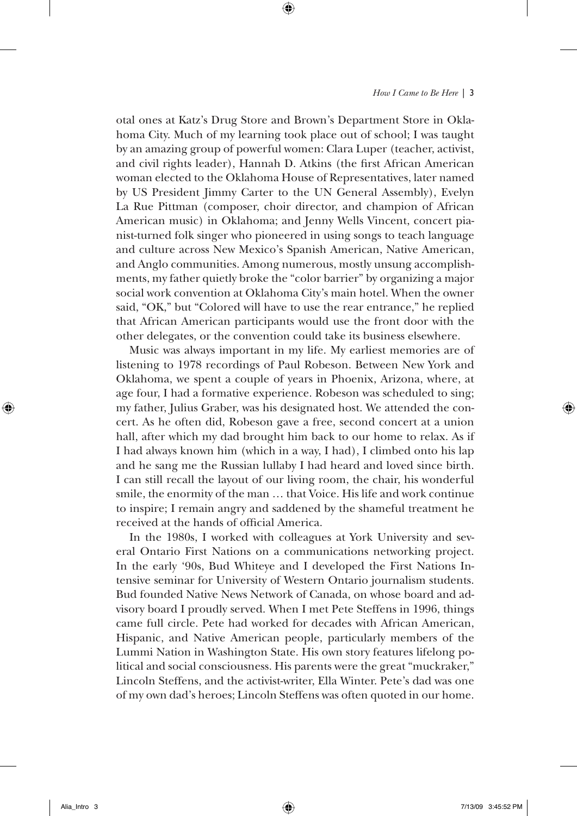otal ones at Katz's Drug Store and Brown's Department Store in Oklahoma City. Much of my learning took place out of school; I was taught by an amazing group of powerful women: Clara Luper (teacher, activist, and civil rights leader), Hannah D. Atkins (the first African American woman elected to the Oklahoma House of Representatives, later named by US President Jimmy Carter to the UN General Assembly), Evelyn La Rue Pittman (composer, choir director, and champion of African American music) in Oklahoma; and Jenny Wells Vincent, concert pianist-turned folk singer who pioneered in using songs to teach language and culture across New Mexico's Spanish American, Native American, and Anglo communities. Among numerous, mostly unsung accomplishments, my father quietly broke the "color barrier" by organizing a major social work convention at Oklahoma City's main hotel. When the owner said, "OK," but "Colored will have to use the rear entrance," he replied that African American participants would use the front door with the other delegates, or the convention could take its business elsewhere.

Music was always important in my life. My earliest memories are of listening to 1978 recordings of Paul Robeson. Between New York and Oklahoma, we spent a couple of years in Phoenix, Arizona, where, at age four, I had a formative experience. Robeson was scheduled to sing; my father, Julius Graber, was his designated host. We attended the concert. As he often did, Robeson gave a free, second concert at a union hall, after which my dad brought him back to our home to relax. As if I had always known him (which in a way, I had), I climbed onto his lap and he sang me the Russian lullaby I had heard and loved since birth. I can still recall the layout of our living room, the chair, his wonderful smile, the enormity of the man … that Voice. His life and work continue to inspire; I remain angry and saddened by the shameful treatment he received at the hands of official America.

In the 1980s, I worked with colleagues at York University and several Ontario First Nations on a communications networking project. In the early '90s, Bud Whiteye and I developed the First Nations Intensive seminar for University of Western Ontario journalism students. Bud founded Native News Network of Canada, on whose board and advisory board I proudly served. When I met Pete Steffens in 1996, things came full circle. Pete had worked for decades with African American, Hispanic, and Native American people, particularly members of the Lummi Nation in Washington State. His own story features lifelong political and social consciousness. His parents were the great "muckraker," Lincoln Steffens, and the activist-writer, Ella Winter. Pete's dad was one of my own dad's heroes; Lincoln Steffens was often quoted in our home.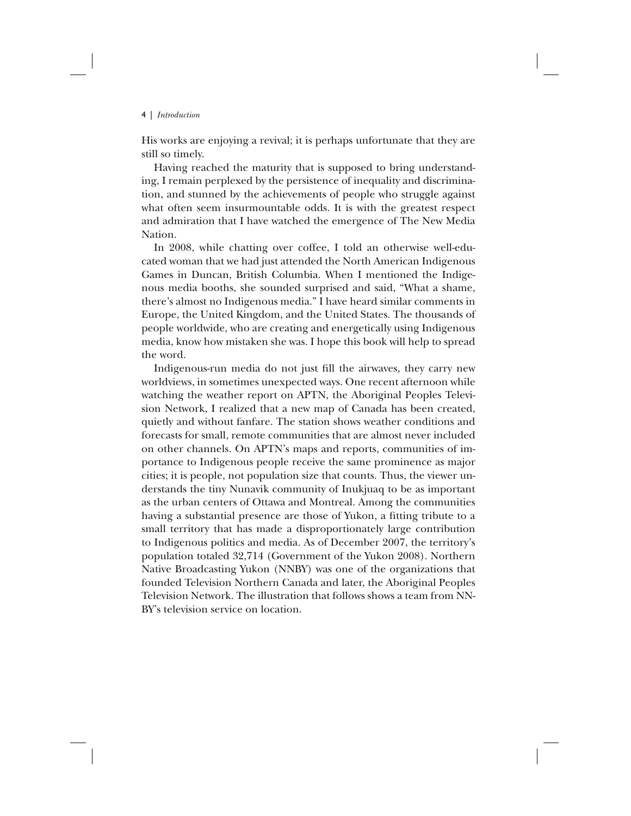His works are enjoying a revival; it is perhaps unfortunate that they are still so timely.

Having reached the maturity that is supposed to bring understanding, I remain perplexed by the persistence of inequality and discrimination, and stunned by the achievements of people who struggle against what often seem insurmountable odds. It is with the greatest respect and admiration that I have watched the emergence of The New Media Nation.

In 2008, while chatting over coffee, I told an otherwise well-educated woman that we had just attended the North American Indigenous Games in Duncan, British Columbia. When I mentioned the Indigenous media booths, she sounded surprised and said, "What a shame, there's almost no Indigenous media." I have heard similar comments in Europe, the United Kingdom, and the United States. The thousands of people worldwide, who are creating and energetically using Indigenous media, know how mistaken she was. I hope this book will help to spread the word.

Indigenous-run media do not just fill the airwaves, they carry new worldviews, in sometimes unexpected ways. One recent afternoon while watching the weather report on APTN, the Aboriginal Peoples Television Network, I realized that a new map of Canada has been created, quietly and without fanfare. The station shows weather conditions and forecasts for small, remote communities that are almost never included on other channels. On APTN's maps and reports, communities of importance to Indigenous people receive the same prominence as major cities; it is people, not population size that counts. Thus, the viewer understands the tiny Nunavik community of Inukjuaq to be as important as the urban centers of Ottawa and Montreal. Among the communities having a substantial presence are those of Yukon, a fitting tribute to a small territory that has made a disproportionately large contribution to Indigenous politics and media. As of December 2007, the territory's population totaled 32,714 (Government of the Yukon 2008). Northern Native Broadcasting Yukon (NNBY) was one of the organizations that founded Television Northern Canada and later, the Aboriginal Peoples Television Network. The illustration that follows shows a team from NN-BY's television service on location.